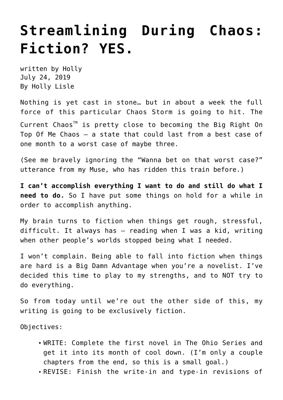## **[Streamlining During Chaos:](https://hollylisle.com/streamlining-during-chaos-fiction-yes/) [Fiction? YES.](https://hollylisle.com/streamlining-during-chaos-fiction-yes/)**

written by Holly July 24, 2019 [By Holly Lisle](https://hollylisle.com)

Nothing is yet cast in stone… but in about a week the full force of this particular Chaos Storm is going to hit. The Current Chaos<sup>™</sup> is pretty close to becoming the Big Right On Top Of Me Chaos — a state that could last from a best case of one month to a worst case of maybe three.

(See me bravely ignoring the "Wanna bet on that worst case?" utterance from my Muse, who has ridden this train before.)

**I can't accomplish everything I want to do and still do what I need to do.** So I have put some things on hold for a while in order to accomplish anything.

My brain turns to fiction when things get rough, stressful, difficult. It always has — reading when I was a kid, writing when other people's worlds stopped being what I needed.

I won't complain. Being able to fall into fiction when things are hard is a Big Damn Advantage when you're a novelist. I've decided this time to play to my strengths, and to NOT try to do everything.

So from today until we're out the other side of this, my writing is going to be exclusively fiction.

Objectives:

- WRITE: Complete the first novel in The Ohio Series and get it into its month of cool down. (I'm only a couple chapters from the end, so this is a small goal.)
- REVISE: Finish the write-in and type-in revisions of